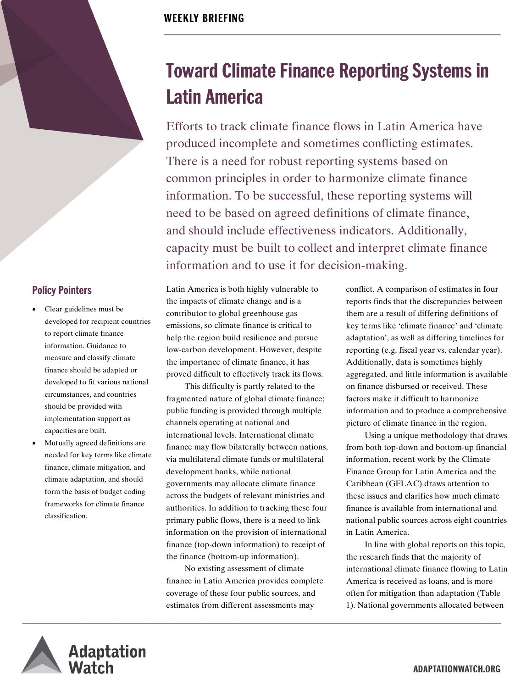### **WEEKLY BRIEFING**

# **Toward Climate Finance Reporting Systems in Latin America**

Efforts to track climate finance flows in Latin America have produced incomplete and sometimes conflicting estimates. There is a need for robust reporting systems based on common principles in order to harmonize climate finance information. To be successful, these reporting systems will need to be based on agreed definitions of climate finance, and should include effectiveness indicators. Additionally, capacity must be built to collect and interpret climate finance information and to use it for decision-making.

### **Policy Pointers**

2

- Clear guidelines must be developed for recipient countries to report climate finance information. Guidance to measure and classify climate finance should be adapted or developed to fit various national circumstances, and countries should be provided with implementation support as capacities are built.
- Mutually agreed definitions are needed for key terms like climate finance, climate mitigation, and climate adaptation, and should form the basis of budget coding frameworks for climate finance classification.

Latin America is both highly vulnerable to the impacts of climate change and is a contributor to global greenhouse gas emissions, so climate finance is critical to help the region build resilience and pursue low-carbon development. However, despite the importance of climate finance, it has proved difficult to effectively track its flows.

This difficulty is partly related to the fragmented nature of global climate finance; public funding is provided through multiple channels operating at national and international levels. International climate finance may flow bilaterally between nations, via multilateral climate funds or multilateral development banks, while national governments may allocate climate finance across the budgets of relevant ministries and authorities. In addition to tracking these four primary public flows, there is a need to link information on the provision of international finance (top-down information) to receipt of the finance (bottom-up information).

No existing assessment of climate finance in Latin America provides complete coverage of these four public sources, and estimates from different assessments may

conflict. A comparison of estimates in four reports finds that the discrepancies between them are a result of differing definitions of key terms like 'climate finance' and 'climate adaptation', as well as differing timelines for reporting (e.g. fiscal year vs. calendar year). Additionally, data is sometimes highly aggregated, and little information is available on finance disbursed or received. These factors make it difficult to harmonize information and to produce a comprehensive picture of climate finance in the region.

Using a unique methodology that draws from both top-down and bottom-up financial information, recent work by the Climate Finance Group for Latin America and the Caribbean (GFLAC) draws attention to these issues and clarifies how much climate finance is available from international and national public sources across eight countries in Latin America.

In line with global reports on this topic, the research finds that the majority of international climate finance flowing to Latin America is received as loans, and is more often for mitigation than adaptation (Table 1). National governments allocated between